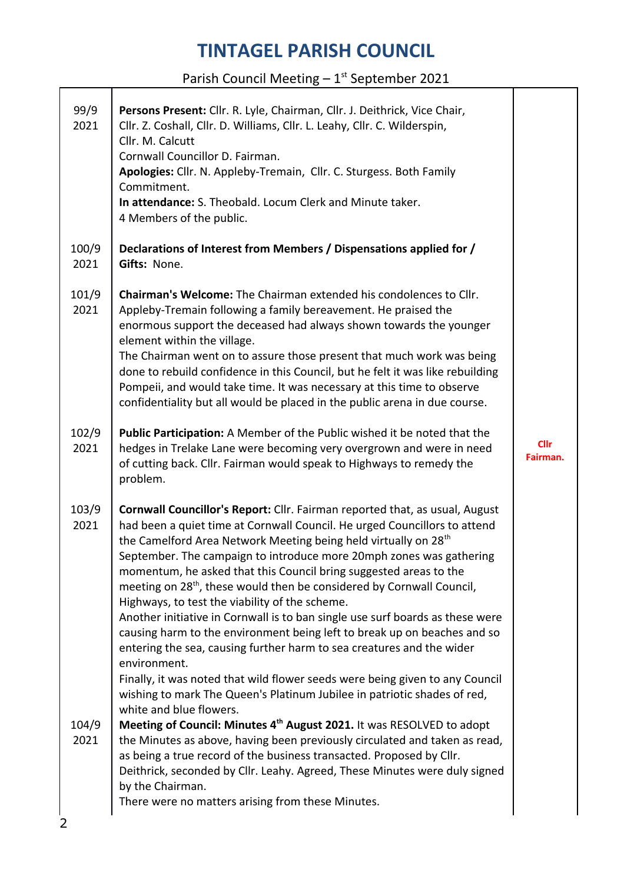Parish Council Meeting  $-1^{st}$  September 2021

| 99/9<br>2021  | Persons Present: Cllr. R. Lyle, Chairman, Cllr. J. Deithrick, Vice Chair,<br>Cllr. Z. Coshall, Cllr. D. Williams, Cllr. L. Leahy, Cllr. C. Wilderspin,<br>Cllr. M. Calcutt<br>Cornwall Councillor D. Fairman.<br>Apologies: Cllr. N. Appleby-Tremain, Cllr. C. Sturgess. Both Family<br>Commitment.<br>In attendance: S. Theobald. Locum Clerk and Minute taker.<br>4 Members of the public.                                                                                                                                                                                                                                                                                                                                                                                                                                                                                                                                                 |                         |
|---------------|----------------------------------------------------------------------------------------------------------------------------------------------------------------------------------------------------------------------------------------------------------------------------------------------------------------------------------------------------------------------------------------------------------------------------------------------------------------------------------------------------------------------------------------------------------------------------------------------------------------------------------------------------------------------------------------------------------------------------------------------------------------------------------------------------------------------------------------------------------------------------------------------------------------------------------------------|-------------------------|
| 100/9<br>2021 | Declarations of Interest from Members / Dispensations applied for /<br>Gifts: None.                                                                                                                                                                                                                                                                                                                                                                                                                                                                                                                                                                                                                                                                                                                                                                                                                                                          |                         |
| 101/9<br>2021 | Chairman's Welcome: The Chairman extended his condolences to Cllr.<br>Appleby-Tremain following a family bereavement. He praised the<br>enormous support the deceased had always shown towards the younger<br>element within the village.<br>The Chairman went on to assure those present that much work was being<br>done to rebuild confidence in this Council, but he felt it was like rebuilding<br>Pompeii, and would take time. It was necessary at this time to observe<br>confidentiality but all would be placed in the public arena in due course.                                                                                                                                                                                                                                                                                                                                                                                 |                         |
| 102/9<br>2021 | Public Participation: A Member of the Public wished it be noted that the<br>hedges in Trelake Lane were becoming very overgrown and were in need<br>of cutting back. Cllr. Fairman would speak to Highways to remedy the<br>problem.                                                                                                                                                                                                                                                                                                                                                                                                                                                                                                                                                                                                                                                                                                         | <b>Cllr</b><br>Fairman. |
| 103/9<br>2021 | Cornwall Councillor's Report: Cllr. Fairman reported that, as usual, August<br>had been a quiet time at Cornwall Council. He urged Councillors to attend<br>the Camelford Area Network Meeting being held virtually on 28 <sup>th</sup><br>September. The campaign to introduce more 20mph zones was gathering<br>momentum, he asked that this Council bring suggested areas to the<br>meeting on 28 <sup>th</sup> , these would then be considered by Cornwall Council,<br>Highways, to test the viability of the scheme.<br>Another initiative in Cornwall is to ban single use surf boards as these were<br>causing harm to the environment being left to break up on beaches and so<br>entering the sea, causing further harm to sea creatures and the wider<br>environment.<br>Finally, it was noted that wild flower seeds were being given to any Council<br>wishing to mark The Queen's Platinum Jubilee in patriotic shades of red, |                         |
| 104/9<br>2021 | white and blue flowers.<br>Meeting of Council: Minutes 4th August 2021. It was RESOLVED to adopt<br>the Minutes as above, having been previously circulated and taken as read,<br>as being a true record of the business transacted. Proposed by Cllr.<br>Deithrick, seconded by Cllr. Leahy. Agreed, These Minutes were duly signed<br>by the Chairman.<br>There were no matters arising from these Minutes.                                                                                                                                                                                                                                                                                                                                                                                                                                                                                                                                |                         |

2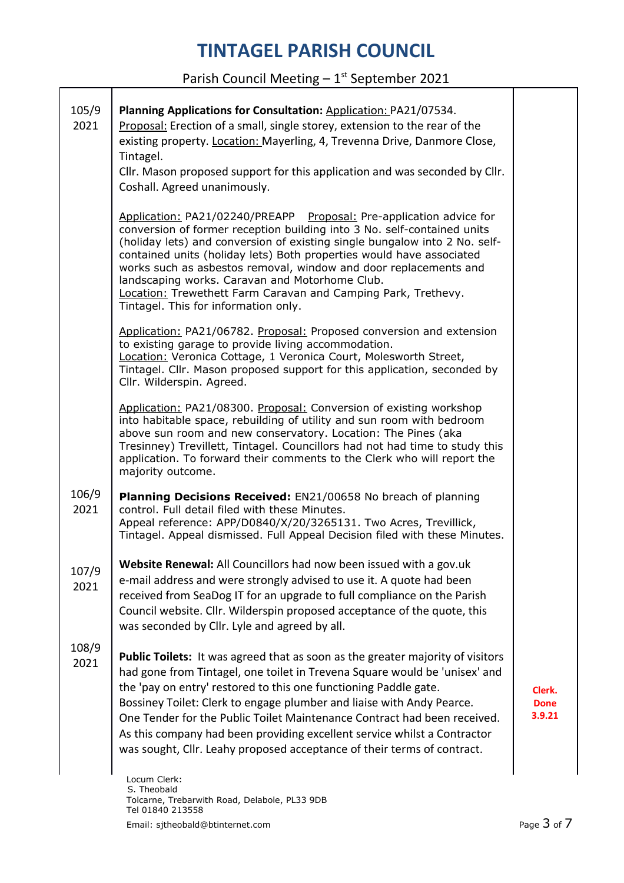Parish Council Meeting  $-1^{st}$  September 2021

| 105/9<br>2021 | Planning Applications for Consultation: Application: PA21/07534.<br>Proposal: Erection of a small, single storey, extension to the rear of the<br>existing property. Location: Mayerling, 4, Trevenna Drive, Danmore Close,<br>Tintagel.<br>Cllr. Mason proposed support for this application and was seconded by Cllr.<br>Coshall. Agreed unanimously.                                                                                                                                                                                      |                                 |
|---------------|----------------------------------------------------------------------------------------------------------------------------------------------------------------------------------------------------------------------------------------------------------------------------------------------------------------------------------------------------------------------------------------------------------------------------------------------------------------------------------------------------------------------------------------------|---------------------------------|
|               | Application: PA21/02240/PREAPP Proposal: Pre-application advice for<br>conversion of former reception building into 3 No. self-contained units<br>(holiday lets) and conversion of existing single bungalow into 2 No. self-<br>contained units (holiday lets) Both properties would have associated<br>works such as asbestos removal, window and door replacements and<br>landscaping works. Caravan and Motorhome Club.<br>Location: Trewethett Farm Caravan and Camping Park, Trethevy.<br>Tintagel. This for information only.          |                                 |
|               | Application: PA21/06782. Proposal: Proposed conversion and extension<br>to existing garage to provide living accommodation.<br>Location: Veronica Cottage, 1 Veronica Court, Molesworth Street,<br>Tintagel. Cllr. Mason proposed support for this application, seconded by<br>Cllr. Wilderspin. Agreed.                                                                                                                                                                                                                                     |                                 |
|               | Application: PA21/08300. Proposal: Conversion of existing workshop<br>into habitable space, rebuilding of utility and sun room with bedroom<br>above sun room and new conservatory. Location: The Pines (aka<br>Tresinney) Trevillett, Tintagel. Councillors had not had time to study this<br>application. To forward their comments to the Clerk who will report the<br>majority outcome.                                                                                                                                                  |                                 |
| 106/9<br>2021 | Planning Decisions Received: EN21/00658 No breach of planning<br>control. Full detail filed with these Minutes.<br>Appeal reference: APP/D0840/X/20/3265131. Two Acres, Trevillick,<br>Tintagel. Appeal dismissed. Full Appeal Decision filed with these Minutes.                                                                                                                                                                                                                                                                            |                                 |
| 107/9<br>2021 | Website Renewal: All Councillors had now been issued with a gov.uk<br>e-mail address and were strongly advised to use it. A quote had been<br>received from SeaDog IT for an upgrade to full compliance on the Parish<br>Council website. Cllr. Wilderspin proposed acceptance of the quote, this<br>was seconded by Cllr. Lyle and agreed by all.                                                                                                                                                                                           |                                 |
| 108/9<br>2021 | Public Toilets: It was agreed that as soon as the greater majority of visitors<br>had gone from Tintagel, one toilet in Trevena Square would be 'unisex' and<br>the 'pay on entry' restored to this one functioning Paddle gate.<br>Bossiney Toilet: Clerk to engage plumber and liaise with Andy Pearce.<br>One Tender for the Public Toilet Maintenance Contract had been received.<br>As this company had been providing excellent service whilst a Contractor<br>was sought, Cllr. Leahy proposed acceptance of their terms of contract. | Clerk.<br><b>Done</b><br>3.9.21 |
|               | Locum Clerk:<br>S. Theobald                                                                                                                                                                                                                                                                                                                                                                                                                                                                                                                  |                                 |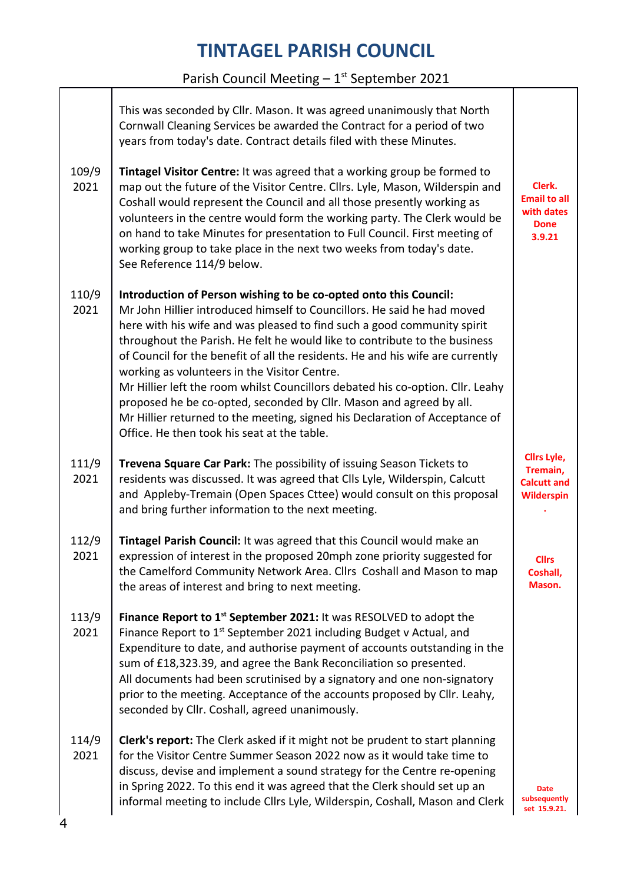#### Parish Council Meeting  $-1^{st}$  September 2021

|                    | This was seconded by Cllr. Mason. It was agreed unanimously that North<br>Cornwall Cleaning Services be awarded the Contract for a period of two<br>years from today's date. Contract details filed with these Minutes.                                                                                                                                                                                                                                                                                                                                                                                                                                                                                                       |                                                                           |
|--------------------|-------------------------------------------------------------------------------------------------------------------------------------------------------------------------------------------------------------------------------------------------------------------------------------------------------------------------------------------------------------------------------------------------------------------------------------------------------------------------------------------------------------------------------------------------------------------------------------------------------------------------------------------------------------------------------------------------------------------------------|---------------------------------------------------------------------------|
| 109/9<br>2021      | Tintagel Visitor Centre: It was agreed that a working group be formed to<br>map out the future of the Visitor Centre. Cllrs. Lyle, Mason, Wilderspin and<br>Coshall would represent the Council and all those presently working as<br>volunteers in the centre would form the working party. The Clerk would be<br>on hand to take Minutes for presentation to Full Council. First meeting of<br>working group to take place in the next two weeks from today's date.<br>See Reference 114/9 below.                                                                                                                                                                                                                           | Clerk.<br><b>Email to all</b><br>with dates<br><b>Done</b><br>3.9.21      |
| 110/9<br>2021      | Introduction of Person wishing to be co-opted onto this Council:<br>Mr John Hillier introduced himself to Councillors. He said he had moved<br>here with his wife and was pleased to find such a good community spirit<br>throughout the Parish. He felt he would like to contribute to the business<br>of Council for the benefit of all the residents. He and his wife are currently<br>working as volunteers in the Visitor Centre.<br>Mr Hillier left the room whilst Councillors debated his co-option. Cllr. Leahy<br>proposed he be co-opted, seconded by Cllr. Mason and agreed by all.<br>Mr Hillier returned to the meeting, signed his Declaration of Acceptance of<br>Office. He then took his seat at the table. |                                                                           |
| 111/9<br>2021      | Trevena Square Car Park: The possibility of issuing Season Tickets to<br>residents was discussed. It was agreed that Clls Lyle, Wilderspin, Calcutt<br>and Appleby-Tremain (Open Spaces Cttee) would consult on this proposal<br>and bring further information to the next meeting.                                                                                                                                                                                                                                                                                                                                                                                                                                           | <b>Clirs Lyle,</b><br>Tremain,<br><b>Calcutt and</b><br><b>Wilderspin</b> |
| 112/9<br>2021      | Tintagel Parish Council: It was agreed that this Council would make an<br>expression of interest in the proposed 20mph zone priority suggested for<br>the Camelford Community Network Area. Cllrs Coshall and Mason to map<br>the areas of interest and bring to next meeting.                                                                                                                                                                                                                                                                                                                                                                                                                                                | <b>Cllrs</b><br>Coshall,<br>Mason.                                        |
| 113/9<br>2021      | Finance Report to 1 <sup>st</sup> September 2021: It was RESOLVED to adopt the<br>Finance Report to 1 <sup>st</sup> September 2021 including Budget v Actual, and<br>Expenditure to date, and authorise payment of accounts outstanding in the<br>sum of £18,323.39, and agree the Bank Reconciliation so presented.<br>All documents had been scrutinised by a signatory and one non-signatory<br>prior to the meeting. Acceptance of the accounts proposed by Cllr. Leahy,<br>seconded by Cllr. Coshall, agreed unanimously.                                                                                                                                                                                                |                                                                           |
| 114/9<br>2021<br>4 | Clerk's report: The Clerk asked if it might not be prudent to start planning<br>for the Visitor Centre Summer Season 2022 now as it would take time to<br>discuss, devise and implement a sound strategy for the Centre re-opening<br>in Spring 2022. To this end it was agreed that the Clerk should set up an<br>informal meeting to include Cllrs Lyle, Wilderspin, Coshall, Mason and Clerk                                                                                                                                                                                                                                                                                                                               | Date<br>subsequently<br>set 15.9.21.                                      |